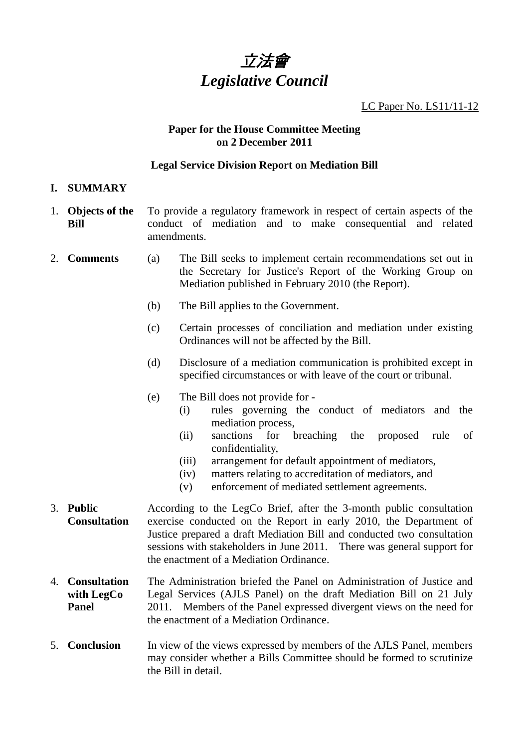# 立法會 *Legislative Council*

LC Paper No. LS11/11-12

#### **Paper for the House Committee Meeting on 2 December 2011**

#### **Legal Service Division Report on Mediation Bill**

- **I. SUMMARY**
- 1. **Objects of the Bill**  To provide a regulatory framework in respect of certain aspects of the conduct of mediation and to make consequential and related amendments.
- 2. **Comments** (a) The Bill seeks to implement certain recommendations set out in the Secretary for Justice's Report of the Working Group on Mediation published in February 2010 (the Report).
	- (b) The Bill applies to the Government.
	- (c) Certain processes of conciliation and mediation under existing Ordinances will not be affected by the Bill.
	- (d) Disclosure of a mediation communication is prohibited except in specified circumstances or with leave of the court or tribunal.
	- (e) The Bill does not provide for
		- (i) rules governing the conduct of mediators and the mediation process,
		- (ii) sanctions for breaching the proposed rule of confidentiality,
		- (iii) arrangement for default appointment of mediators,
		- (iv) matters relating to accreditation of mediators, and
		- (v) enforcement of mediated settlement agreements.
- 3. **Public Consultation**  According to the LegCo Brief, after the 3-month public consultation exercise conducted on the Report in early 2010, the Department of Justice prepared a draft Mediation Bill and conducted two consultation sessions with stakeholders in June 2011. There was general support for the enactment of a Mediation Ordinance.
- 4. **Consultation with LegCo Panel**  The Administration briefed the Panel on Administration of Justice and Legal Services (AJLS Panel) on the draft Mediation Bill on 21 July 2011. Members of the Panel expressed divergent views on the need for the enactment of a Mediation Ordinance.
- 5. **Conclusion** In view of the views expressed by members of the AJLS Panel, members may consider whether a Bills Committee should be formed to scrutinize the Bill in detail.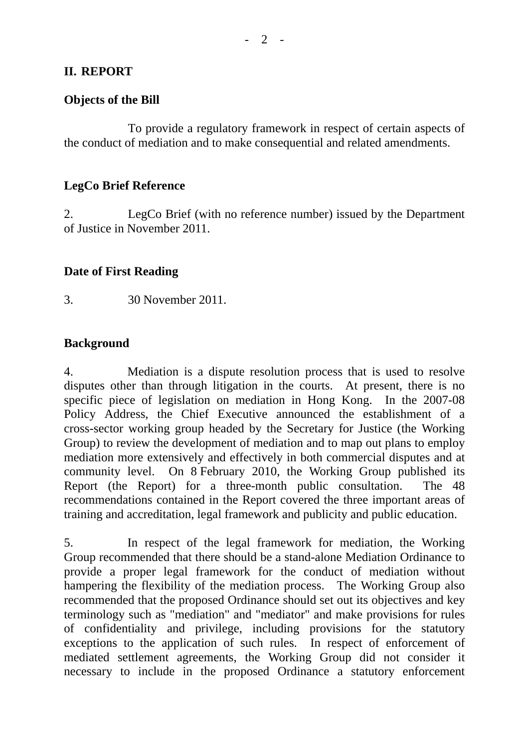#### **II. REPORT**

#### **Objects of the Bill**

 To provide a regulatory framework in respect of certain aspects of the conduct of mediation and to make consequential and related amendments.

#### **LegCo Brief Reference**

2. LegCo Brief (with no reference number) issued by the Department of Justice in November 2011.

#### **Date of First Reading**

3. 30 November 2011.

## **Background**

4. Mediation is a dispute resolution process that is used to resolve disputes other than through litigation in the courts. At present, there is no specific piece of legislation on mediation in Hong Kong. In the 2007-08 Policy Address, the Chief Executive announced the establishment of a cross-sector working group headed by the Secretary for Justice (the Working Group) to review the development of mediation and to map out plans to employ mediation more extensively and effectively in both commercial disputes and at community level. On 8 February 2010, the Working Group published its Report (the Report) for a three-month public consultation. The 48 recommendations contained in the Report covered the three important areas of training and accreditation, legal framework and publicity and public education.

5. In respect of the legal framework for mediation, the Working Group recommended that there should be a stand-alone Mediation Ordinance to provide a proper legal framework for the conduct of mediation without hampering the flexibility of the mediation process. The Working Group also recommended that the proposed Ordinance should set out its objectives and key terminology such as "mediation" and "mediator" and make provisions for rules of confidentiality and privilege, including provisions for the statutory exceptions to the application of such rules. In respect of enforcement of mediated settlement agreements, the Working Group did not consider it necessary to include in the proposed Ordinance a statutory enforcement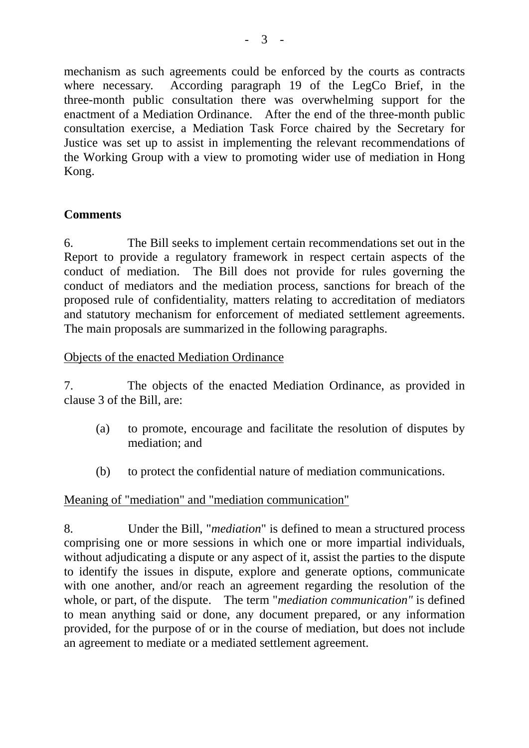mechanism as such agreements could be enforced by the courts as contracts where necessary. According paragraph 19 of the LegCo Brief, in the three-month public consultation there was overwhelming support for the enactment of a Mediation Ordinance. After the end of the three-month public consultation exercise, a Mediation Task Force chaired by the Secretary for Justice was set up to assist in implementing the relevant recommendations of the Working Group with a view to promoting wider use of mediation in Hong Kong.

# **Comments**

6. The Bill seeks to implement certain recommendations set out in the Report to provide a regulatory framework in respect certain aspects of the conduct of mediation. The Bill does not provide for rules governing the conduct of mediators and the mediation process, sanctions for breach of the proposed rule of confidentiality, matters relating to accreditation of mediators and statutory mechanism for enforcement of mediated settlement agreements. The main proposals are summarized in the following paragraphs.

## Objects of the enacted Mediation Ordinance

7. The objects of the enacted Mediation Ordinance, as provided in clause 3 of the Bill, are:

- (a) to promote, encourage and facilitate the resolution of disputes by mediation; and
- (b) to protect the confidential nature of mediation communications.

## Meaning of "mediation" and "mediation communication"

8. Under the Bill, "*mediation*" is defined to mean a structured process comprising one or more sessions in which one or more impartial individuals, without adjudicating a dispute or any aspect of it, assist the parties to the dispute to identify the issues in dispute, explore and generate options, communicate with one another, and/or reach an agreement regarding the resolution of the whole, or part, of the dispute. The term "*mediation communication"* is defined to mean anything said or done, any document prepared, or any information provided, for the purpose of or in the course of mediation, but does not include an agreement to mediate or a mediated settlement agreement.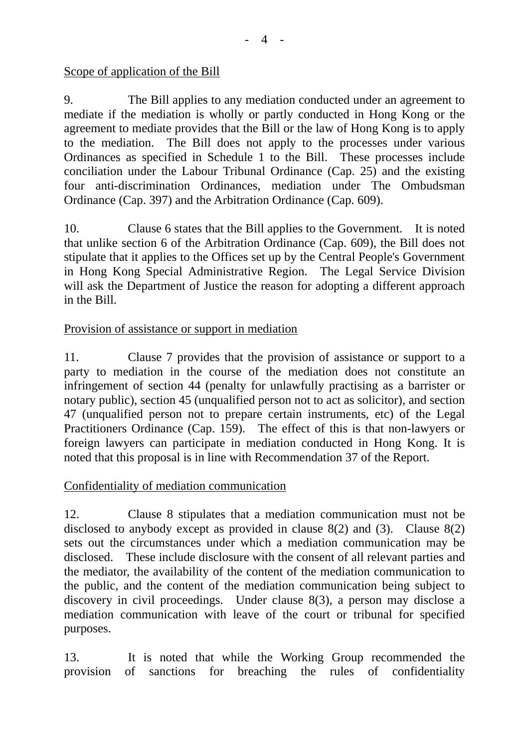Scope of application of the Bill

9. The Bill applies to any mediation conducted under an agreement to mediate if the mediation is wholly or partly conducted in Hong Kong or the agreement to mediate provides that the Bill or the law of Hong Kong is to apply to the mediation. The Bill does not apply to the processes under various Ordinances as specified in Schedule 1 to the Bill. These processes include conciliation under the Labour Tribunal Ordinance (Cap. 25) and the existing four anti-discrimination Ordinances, mediation under The Ombudsman Ordinance (Cap. 397) and the Arbitration Ordinance (Cap. 609).

10. Clause 6 states that the Bill applies to the Government. It is noted that unlike section 6 of the Arbitration Ordinance (Cap. 609), the Bill does not stipulate that it applies to the Offices set up by the Central People's Government in Hong Kong Special Administrative Region. The Legal Service Division will ask the Department of Justice the reason for adopting a different approach in the Bill.

Provision of assistance or support in mediation

11. Clause 7 provides that the provision of assistance or support to a party to mediation in the course of the mediation does not constitute an infringement of section 44 (penalty for unlawfully practising as a barrister or notary public), section 45 (unqualified person not to act as solicitor), and section 47 (unqualified person not to prepare certain instruments, etc) of the Legal Practitioners Ordinance (Cap. 159). The effect of this is that non-lawyers or foreign lawyers can participate in mediation conducted in Hong Kong. It is noted that this proposal is in line with Recommendation 37 of the Report.

## Confidentiality of mediation communication

12. Clause 8 stipulates that a mediation communication must not be disclosed to anybody except as provided in clause 8(2) and (3). Clause 8(2) sets out the circumstances under which a mediation communication may be disclosed. These include disclosure with the consent of all relevant parties and the mediator, the availability of the content of the mediation communication to the public, and the content of the mediation communication being subject to discovery in civil proceedings. Under clause 8(3), a person may disclose a mediation communication with leave of the court or tribunal for specified purposes.

13. It is noted that while the Working Group recommended the provision of sanctions for breaching the rules of confidentiality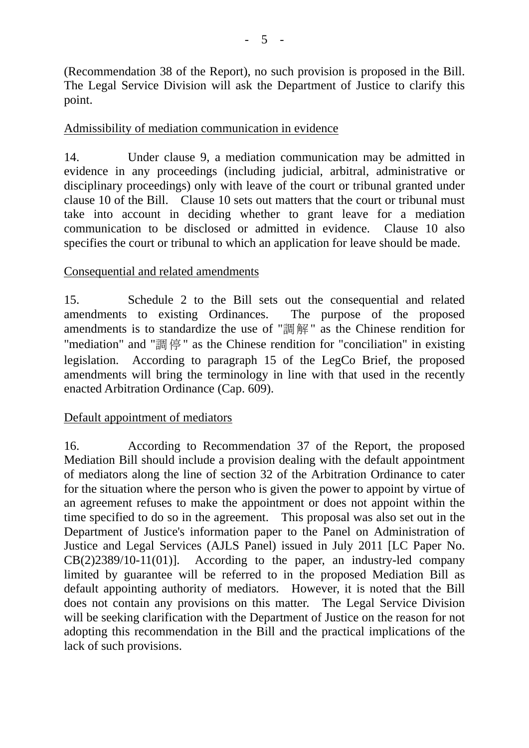(Recommendation 38 of the Report), no such provision is proposed in the Bill. The Legal Service Division will ask the Department of Justice to clarify this point.

## Admissibility of mediation communication in evidence

14. Under clause 9, a mediation communication may be admitted in evidence in any proceedings (including judicial, arbitral, administrative or disciplinary proceedings) only with leave of the court or tribunal granted under clause 10 of the Bill. Clause 10 sets out matters that the court or tribunal must take into account in deciding whether to grant leave for a mediation communication to be disclosed or admitted in evidence. Clause 10 also specifies the court or tribunal to which an application for leave should be made.

#### Consequential and related amendments

15. Schedule 2 to the Bill sets out the consequential and related amendments to existing Ordinances. amendments is to standardize the use of "調解" as the Chinese rendition for "mediation" and "調停" as the Chinese rendition for "conciliation" in existing legislation. According to paragraph 15 of the LegCo Brief, the proposed amendments will bring the terminology in line with that used in the recently enacted Arbitration Ordinance (Cap. 609).

## Default appointment of mediators

16. According to Recommendation 37 of the Report, the proposed Mediation Bill should include a provision dealing with the default appointment of mediators along the line of section 32 of the Arbitration Ordinance to cater for the situation where the person who is given the power to appoint by virtue of an agreement refuses to make the appointment or does not appoint within the time specified to do so in the agreement. This proposal was also set out in the Department of Justice's information paper to the Panel on Administration of Justice and Legal Services (AJLS Panel) issued in July 2011 [LC Paper No. CB(2)2389/10-11(01)]. According to the paper, an industry-led company limited by guarantee will be referred to in the proposed Mediation Bill as default appointing authority of mediators. However, it is noted that the Bill does not contain any provisions on this matter. The Legal Service Division will be seeking clarification with the Department of Justice on the reason for not adopting this recommendation in the Bill and the practical implications of the lack of such provisions.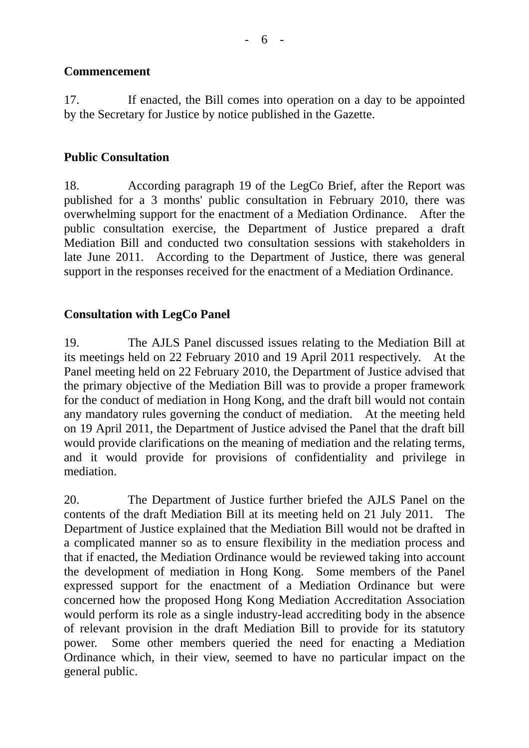## **Commencement**

17. If enacted, the Bill comes into operation on a day to be appointed by the Secretary for Justice by notice published in the Gazette.

## **Public Consultation**

18. According paragraph 19 of the LegCo Brief, after the Report was published for a 3 months' public consultation in February 2010, there was overwhelming support for the enactment of a Mediation Ordinance. After the public consultation exercise, the Department of Justice prepared a draft Mediation Bill and conducted two consultation sessions with stakeholders in late June 2011. According to the Department of Justice, there was general support in the responses received for the enactment of a Mediation Ordinance.

## **Consultation with LegCo Panel**

19. The AJLS Panel discussed issues relating to the Mediation Bill at its meetings held on 22 February 2010 and 19 April 2011 respectively. At the Panel meeting held on 22 February 2010, the Department of Justice advised that the primary objective of the Mediation Bill was to provide a proper framework for the conduct of mediation in Hong Kong, and the draft bill would not contain any mandatory rules governing the conduct of mediation. At the meeting held on 19 April 2011, the Department of Justice advised the Panel that the draft bill would provide clarifications on the meaning of mediation and the relating terms, and it would provide for provisions of confidentiality and privilege in mediation.

20. The Department of Justice further briefed the AJLS Panel on the contents of the draft Mediation Bill at its meeting held on 21 July 2011. The Department of Justice explained that the Mediation Bill would not be drafted in a complicated manner so as to ensure flexibility in the mediation process and that if enacted, the Mediation Ordinance would be reviewed taking into account the development of mediation in Hong Kong. Some members of the Panel expressed support for the enactment of a Mediation Ordinance but were concerned how the proposed Hong Kong Mediation Accreditation Association would perform its role as a single industry-lead accrediting body in the absence of relevant provision in the draft Mediation Bill to provide for its statutory power. Some other members queried the need for enacting a Mediation Ordinance which, in their view, seemed to have no particular impact on the general public.